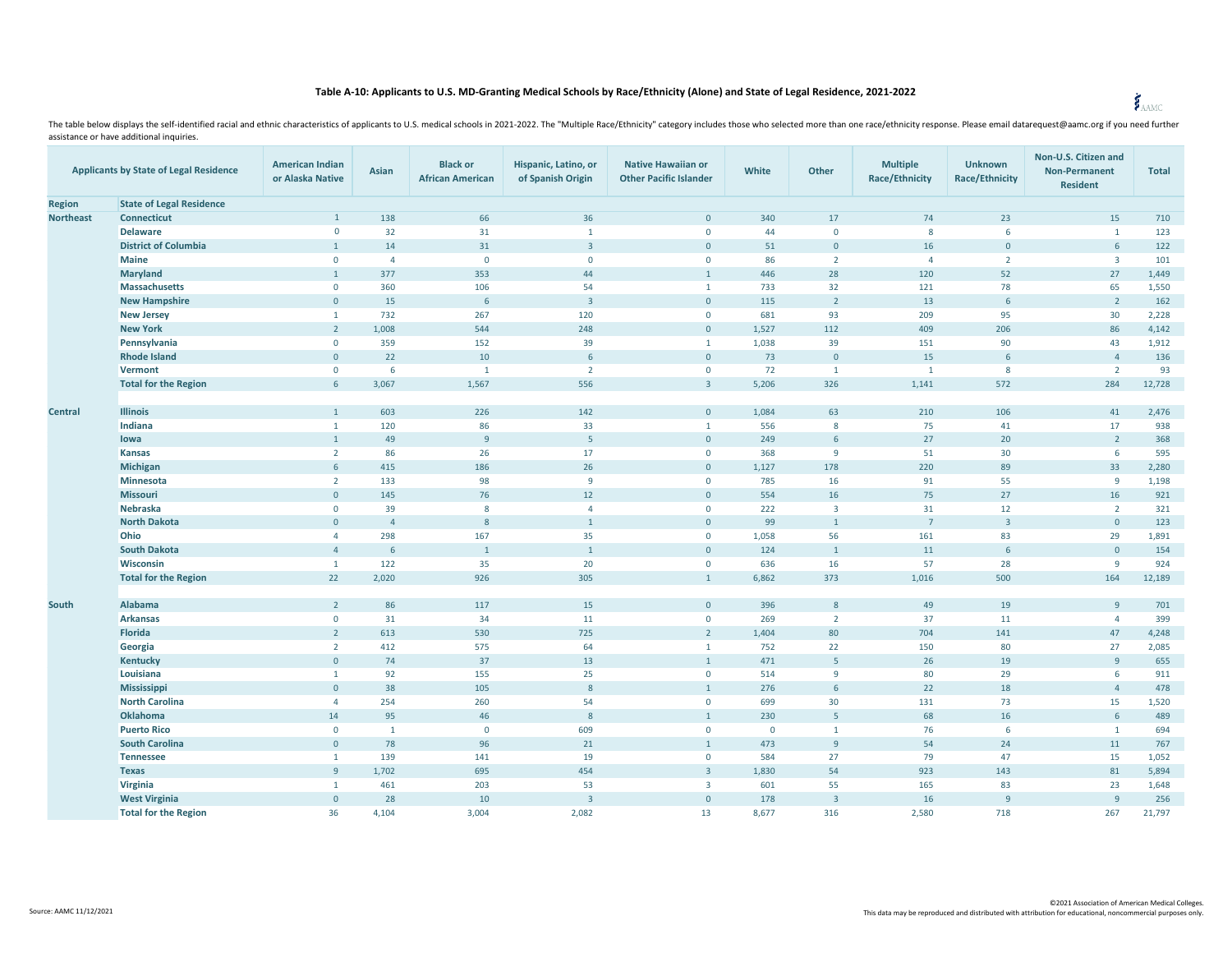## **Table A-10: Applicants to U.S. MD-Granting Medical Schools by Race/Ethnicity (Alone) and State of Legal Residence, 2021-2022**

The table below displays the self-identified racial and ethnic characteristics of applicants to U.S. medical schools in 2021-2022. The "Multiple Race/Ethnicity" category includes those who selected more than one race/ethni assistance or have additional inquiries.

| <b>Applicants by State of Legal Residence</b> |                                 | <b>American Indian</b><br>or Alaska Native | Asian          | <b>Black or</b><br><b>African American</b> | Hispanic, Latino, or<br>of Spanish Origin | <b>Native Hawaiian or</b><br><b>Other Pacific Islander</b> | White       | Other                   | <b>Multiple</b><br><b>Race/Ethnicity</b> | <b>Unknown</b><br><b>Race/Ethnicity</b> | Non-U.S. Citizen and<br><b>Non-Permanent</b><br><b>Resident</b> | <b>Total</b> |
|-----------------------------------------------|---------------------------------|--------------------------------------------|----------------|--------------------------------------------|-------------------------------------------|------------------------------------------------------------|-------------|-------------------------|------------------------------------------|-----------------------------------------|-----------------------------------------------------------------|--------------|
| <b>Region</b>                                 | <b>State of Legal Residence</b> |                                            |                |                                            |                                           |                                                            |             |                         |                                          |                                         |                                                                 |              |
| <b>Northeast</b>                              | <b>Connecticut</b>              | $\mathbf{1}$                               | 138            | 66                                         | 36                                        | $\mathbf{0}$                                               | 340         | 17                      | 74                                       | 23                                      | 15                                                              | 710          |
|                                               | <b>Delaware</b>                 | $\mathbf 0$                                | 32             | 31                                         | $\mathbf{1}$                              | $\mathbf 0$                                                | 44          | $\mathbf{0}$            | 8                                        | 6                                       | $\mathbf{1}$                                                    | 123          |
|                                               | <b>District of Columbia</b>     | $\mathbf{1}$                               | 14             | 31                                         | $\overline{3}$                            | $\mathbf{0}$                                               | 51          | $\mathbf{0}$            | 16                                       | $\mathbf{0}$                            | 6                                                               | 122          |
|                                               | <b>Maine</b>                    | $\mathbf{0}$                               | $\overline{4}$ | $\mathbf 0$                                | $\mathbf{0}$                              | $\mathbf{0}$                                               | 86          | $\overline{2}$          | $\overline{4}$                           | $\overline{2}$                          | $\overline{\mathbf{3}}$                                         | 101          |
|                                               | <b>Maryland</b>                 | $\mathbf{1}$                               | 377            | 353                                        | 44                                        | $\mathbf{1}$                                               | 446         | 28                      | 120                                      | 52                                      | 27                                                              | 1,449        |
|                                               | <b>Massachusetts</b>            | $\mathbf{0}$                               | 360            | 106                                        | 54                                        | $\mathbf{1}$                                               | 733         | 32                      | 121                                      | 78                                      | 65                                                              | 1,550        |
|                                               | <b>New Hampshire</b>            | $\mathbf{0}$                               | 15             | 6                                          | $\overline{\mathbf{3}}$                   | $\mathbf{0}$                                               | 115         | $\overline{2}$          | 13                                       | 6                                       | $\overline{2}$                                                  | 162          |
|                                               | <b>New Jersey</b>               | $\mathbf{1}$                               | 732            | 267                                        | 120                                       | $\mathbf 0$                                                | 681         | 93                      | 209                                      | 95                                      | 30                                                              | 2,228        |
|                                               | <b>New York</b>                 | $\overline{2}$                             | 1,008          | 544                                        | 248                                       | $\mathbf{0}$                                               | 1,527       | 112                     | 409                                      | 206                                     | 86                                                              | 4,142        |
|                                               | Pennsylvania                    | $\mathbf 0$                                | 359            | 152                                        | 39                                        | $\mathbf{1}$                                               | 1,038       | 39                      | 151                                      | 90                                      | 43                                                              | 1,912        |
|                                               | <b>Rhode Island</b>             | $\mathbf{0}$                               | 22             | 10                                         | 6                                         | $\mathbf{0}$                                               | 73          | $\Omega$                | 15                                       | 6                                       | $\overline{4}$                                                  | 136          |
|                                               | Vermont                         | $\mathsf{O}\xspace$                        | 6              | $\mathbf{1}$                               | $\overline{2}$                            | $\mathbf 0$                                                | 72          | $\mathbf{1}$            | $\mathbf{1}$                             | 8                                       | $\overline{2}$                                                  | 93           |
|                                               | <b>Total for the Region</b>     | 6                                          | 3,067          | 1,567                                      | 556                                       | $\overline{3}$                                             | 5,206       | 326                     | 1,141                                    | 572                                     | 284                                                             | 12,728       |
| <b>Central</b>                                | <b>Illinois</b>                 | $\mathbf{1}$                               | 603            | 226                                        | 142                                       | $\mathbf{0}$                                               | 1,084       | 63                      | 210                                      | 106                                     | 41                                                              | 2,476        |
|                                               | Indiana                         | $\mathbf{1}$                               | 120            | 86                                         | 33                                        | $\mathbf{1}$                                               | 556         | $\mathbf{8}$            | 75                                       | 41                                      | 17                                                              | 938          |
|                                               | lowa                            | $\mathbf{1}$                               | 49             | 9                                          | $\overline{5}$                            | $\mathbf{0}$                                               | 249         | 6                       | 27                                       | 20                                      | $\overline{2}$                                                  | 368          |
|                                               | <b>Kansas</b>                   | $\overline{2}$                             | 86             | 26                                         | 17                                        | $\mathbf{0}$                                               | 368         | 9                       | 51                                       | 30                                      | 6                                                               | 595          |
|                                               | Michigan                        | 6                                          | 415            | 186                                        | 26                                        | $\mathbf{0}$                                               | 1,127       | 178                     | 220                                      | 89                                      | 33                                                              | 2,280        |
|                                               | Minnesota                       | $\overline{2}$                             | 133            | 98                                         | 9                                         | $\mathbf 0$                                                | 785         | 16                      | 91                                       | 55                                      | 9                                                               | 1,198        |
|                                               | <b>Missouri</b>                 | $\mathbf{0}$                               | 145            | 76                                         | 12                                        | $\mathsf{O}$                                               | 554         | 16                      | 75                                       | 27                                      | 16                                                              | 921          |
|                                               | <b>Nebraska</b>                 | $\mathbf{0}$                               | 39             | 8                                          | $\overline{4}$                            | $\mathbf{0}$                                               | 222         | $\overline{\mathbf{3}}$ | 31                                       | 12                                      | $\overline{2}$                                                  | 321          |
|                                               | <b>North Dakota</b>             | $\mathbf{0}$                               | $\overline{4}$ | $\boldsymbol{8}$                           | $\mathbf{1}$                              | $\overline{0}$                                             | 99          | $\mathbf{1}$            | $7^{\circ}$                              | $\overline{3}$                          | $\mathbf{0}$                                                    | 123          |
|                                               | Ohio                            | $\overline{4}$                             | 298            | 167                                        | 35                                        | $\mathbf{0}$                                               | 1,058       | 56                      | 161                                      | 83                                      | 29                                                              | 1,891        |
|                                               | <b>South Dakota</b>             | $\overline{4}$                             | 6              | $\mathbf{1}$                               | $\overline{1}$                            | $\overline{0}$                                             | 124         | $\mathbf{1}$            | 11                                       | $6\overline{6}$                         | $\circ$                                                         | 154          |
|                                               | Wisconsin                       | $\mathbf{1}$                               | 122            | 35                                         | 20                                        | $\mathbf{0}$                                               | 636         | 16                      | 57                                       | 28                                      | $\overline{9}$                                                  | 924          |
|                                               | <b>Total for the Region</b>     | 22                                         | 2,020          | 926                                        | 305                                       | $\mathbf{1}$                                               | 6,862       | 373                     | 1,016                                    | 500                                     | 164                                                             | 12,189       |
| South                                         | Alabama                         | $2^{\circ}$                                | 86             | 117                                        | 15                                        | $\mathbf{0}$                                               | 396         | 8                       | 49                                       | 19                                      | $\overline{9}$                                                  | 701          |
|                                               | <b>Arkansas</b>                 | $\mathbf{0}$                               | 31             | 34                                         | 11                                        | $\mathbf{0}$                                               | 269         | $\overline{2}$          | 37                                       | 11                                      | $\overline{4}$                                                  | 399          |
|                                               | Florida                         | $\overline{2}$                             | 613            | 530                                        | 725                                       | $\overline{2}$                                             | 1,404       | 80                      | 704                                      | 141                                     | 47                                                              | 4,248        |
|                                               | Georgia                         | $\overline{2}$                             | 412            | 575                                        | 64                                        | $\mathbf{1}$                                               | 752         | 22                      | 150                                      | 80                                      | 27                                                              | 2,085        |
|                                               | Kentucky                        | $\mathbf 0$                                | 74             | 37                                         | 13                                        | $\mathbf{1}$                                               | 471         | 5                       | 26                                       | 19                                      | 9                                                               | 655          |
|                                               | Louisiana                       | $\mathbf{1}$                               | 92             | 155                                        | 25                                        | $\mathbf 0$                                                | 514         | 9                       | 80                                       | 29                                      | 6                                                               | 911          |
|                                               | Mississippi                     | $\mathbf 0$                                | 38             | 105                                        | 8                                         | $\mathbf{1}$                                               | 276         | 6                       | 22                                       | 18                                      | $\overline{4}$                                                  | 478          |
|                                               | <b>North Carolina</b>           | $\overline{4}$                             | 254            | 260                                        | 54                                        | $\mathbf 0$                                                | 699         | 30                      | 131                                      | 73                                      | 15                                                              | 1,520        |
|                                               | Oklahoma                        | 14                                         | 95             | 46                                         | 8                                         | $\mathbf{1}$                                               | 230         | 5                       | 68                                       | 16                                      | $\sqrt{6}$                                                      | 489          |
|                                               | <b>Puerto Rico</b>              | $\mathbf 0$                                | $\mathbf{1}$   | $\mathbf 0$                                | 609                                       | $\mathbf 0$                                                | $\mathbf 0$ | $\mathbf{1}$            | 76                                       | 6                                       | $\mathbf{1}$                                                    | 694          |
|                                               | <b>South Carolina</b>           | $\mathbf 0$                                | 78             | 96                                         | 21                                        | $\mathbf{1}$                                               | 473         | $\overline{9}$          | 54                                       | 24                                      | $11\,$                                                          | 767          |
|                                               | <b>Tennessee</b>                | $\mathbf{1}$                               | 139            | 141                                        | 19                                        | $\mathbf 0$                                                | 584         | 27                      | 79                                       | 47                                      | 15                                                              | 1,052        |
|                                               | <b>Texas</b>                    | 9                                          | 1,702          | 695                                        | 454                                       | $\overline{3}$                                             | 1,830       | 54                      | 923                                      | 143                                     | 81                                                              | 5,894        |
|                                               | Virginia                        | $\mathbf{1}$                               | 461            | 203                                        | 53                                        | $\overline{3}$                                             | 601         | 55                      | 165                                      | 83                                      | 23                                                              | 1,648        |
|                                               | <b>West Virginia</b>            | $\mathbf{0}$                               | 28             | 10                                         | $\overline{\mathbf{3}}$                   | $\mathbf{0}$                                               | 178         | $\overline{3}$          | 16                                       | $\overline{9}$                          | $\overline{9}$                                                  | 256          |
|                                               | <b>Total for the Region</b>     | 36                                         | 4,104          | 3,004                                      | 2,082                                     | 13                                                         | 8,677       | 316                     | 2,580                                    | 718                                     | 267                                                             | 21,797       |

 ©2021 Association of American Medical Colleges. This data may be reproduced and distributed with attribution for educational, noncommercial purposes only.

 $\zeta$  AAMC